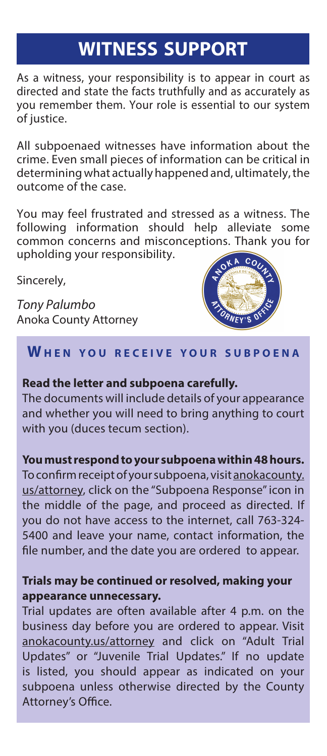# **WITNESS SUPPORT**

As a witness, your responsibility is to appear in court as directed and state the facts truthfully and as accurately as you remember them. Your role is essential to our system of justice.

All subpoenaed witnesses have information about the crime. Even small pieces of information can be critical in determining what actually happened and, ultimately, the outcome of the case.

You may feel frustrated and stressed as a witness. The following information should help alleviate some common concerns and misconceptions. Thank you for upholding your responsibility.

Sincerely,

*Tony Palumbo* Anoka County Attorney



# **W h e n y o u r e c e i v e y o u r s u b p o e n a**

#### **Read the letter and subpoena carefully.**

The documents will include details of your appearance and whether you will need to bring anything to court with you (duces tecum section).

## **You must respond to your subpoena within 48 hours.**

To confirm receipt of your subpoena, visit anokacounty. us/attorney, click on the "Subpoena Response" icon in the middle of the page, and proceed as directed. If you do not have access to the internet, call 763-324- 5400 and leave your name, contact information, the file number, and the date you are ordered to appear.

## **Trials may be continued or resolved, making your appearance unnecessary.**

Trial updates are often available after 4 p.m. on the business day before you are ordered to appear. Visit anokacounty.us/attorney and click on "Adult Trial Updates" or "Juvenile Trial Updates." If no update is listed, you should appear as indicated on your subpoena unless otherwise directed by the County Attorney's Office.